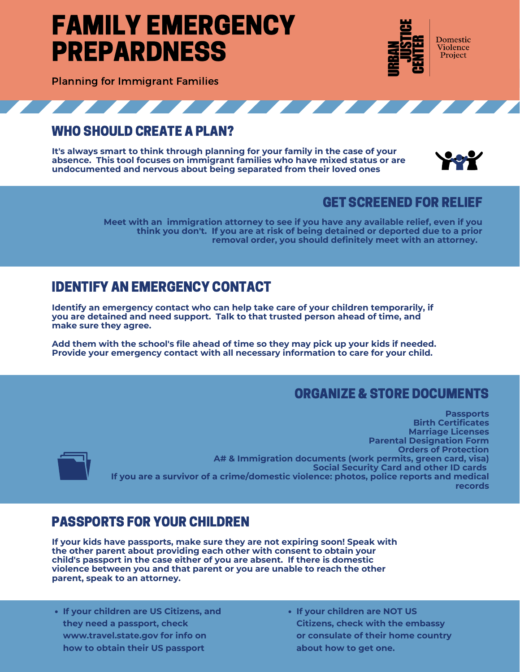# FAMILY EMERGENCY PREPARDNESS



Planning for Immigrant Families

#### 7 7 7 7 7 7 7 <u> André de la companya de la companya de la companya de la companya de la companya de la companya de la companya de la companya de la companya de la companya de la companya de la companya de la companya de la companya de l</u>

## WHO SHOULD CREATE A PLAN?

**It's always smart to think through planning for your family in the case of your absence. This tool focuses on immigrant families who have mixed status or are undocumented and nervous about being separated from their loved ones**



### GET SCREENED FOR RELIEF

**Meet with an immigration attorney to see if you have any available relief, even if you think you don't. If you are at risk of being detained or deported due to a prior removal order, you should definitely meet with an attorney.**

# IDENTIFY AN EMERGENCY CONTACT

**Identify an emergency contact who can help take care of your children temporarily, if you are detained and need support. Talk to that trusted person ahead of time, and make sure they agree.**

**Add them with the school's file ahead of time so they may pick up your kids if needed. Provide your emergency contact with all necessary information to care for your child.**

### ORGANIZE & STORE DOCUMENTS

**Passports Birth Certificates Marriage Licenses Parental Designation Form Orders of Protection A# & Immigration documents (work permits, green card, visa) Social Security Card and other ID cards If you are a survivor of a crime/domestic violence: photos, police reports and medical records**

### PASSPORTS FOR YOUR CHILDREN

**If your kids have passports, make sure they are not expiring soon! Speak with the other parent about providing each other with consent to obtain your child's passport in the case either of you are absent. If there is domestic violence between you and that parent or you are unable to reach the other parent, speak to an attorney.**

- **If your children are US Citizens, and they need a passport, check www.travel.state.gov for info on how to obtain their US passport**
- **If your children are NOT US Citizens, check with the embassy or consulate of their home country about how to get one.**